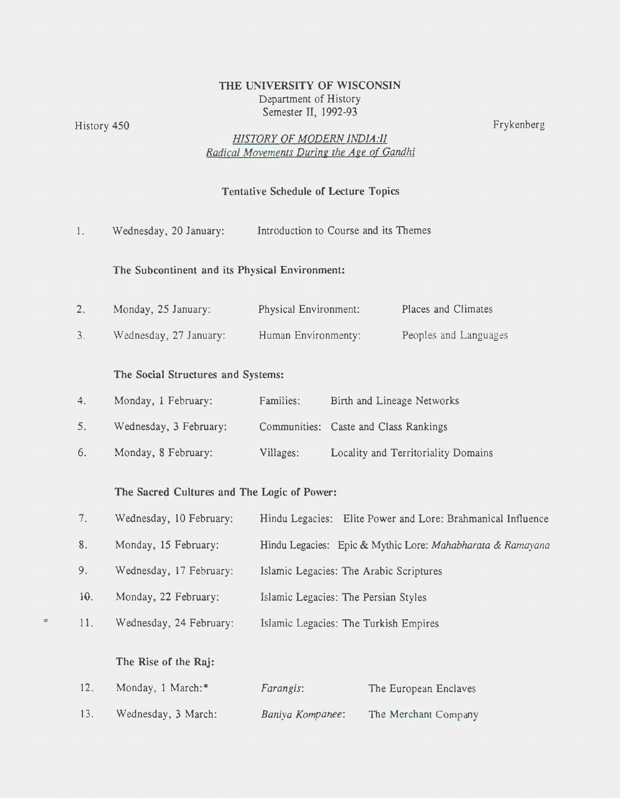## THE UNIVERSITY OF WISCONSIN Department of History Semester II, 1992-93

History 450 Frykenberg **Fry Kennet and The Community Community** Frykenberg **Frykenberg** 

\*

## *HISTORY OF MODERN INDIA :II Radical Movements During the Age of Gandhi*

## Tentative Schedule of Lecture Topics

| 1.  | Wednesday, 20 January:                         | Introduction to Course and its Themes                      |                                       |                                                             |  |
|-----|------------------------------------------------|------------------------------------------------------------|---------------------------------------|-------------------------------------------------------------|--|
|     | The Subcontinent and its Physical Environment: |                                                            |                                       |                                                             |  |
| 2.  | Monday, 25 January:                            | Physical Environment:                                      |                                       | Places and Climates                                         |  |
| 3.  | Wednesday, 27 January:                         | Human Environmenty:                                        |                                       | Peoples and Languages                                       |  |
|     | The Social Structures and Systems:             |                                                            |                                       |                                                             |  |
| 4.  | Monday, 1 February:                            | Families:                                                  |                                       | Birth and Lineage Networks                                  |  |
| 5.  | Wednesday, 3 February:                         |                                                            | Communities: Caste and Class Rankings |                                                             |  |
| 6.  | Monday, 8 February:                            | Villages:                                                  |                                       | Locality and Territoriality Domains                         |  |
|     | The Sacred Cultures and The Logic of Power:    |                                                            |                                       |                                                             |  |
| 7.  | Wednesday, 10 February:                        |                                                            |                                       | Hindu Legacies: Elite Power and Lore: Brahmanical Influence |  |
| 8.  | Monday, 15 February:                           | Hindu Legacies: Epic & Mythic Lore: Mahabharata & Ramayana |                                       |                                                             |  |
| 9.  | Wednesday, 17 February:                        | Islamic Legacies: The Arabic Scriptures                    |                                       |                                                             |  |
| 10. | Monday, 22 February:                           | Islamic Legacies: The Persian Styles                       |                                       |                                                             |  |
| 11. | Wednesday, 24 February:                        | Islamic Legacies: The Turkish Empires                      |                                       |                                                             |  |
|     | The Rise of the Raj:                           |                                                            |                                       |                                                             |  |
| 12. | Monday, 1 March:*                              | Farangis:                                                  |                                       | The European Enclaves                                       |  |

13. Wednesday, 3 March: *Baniya Kompanee*: The Merchant Company